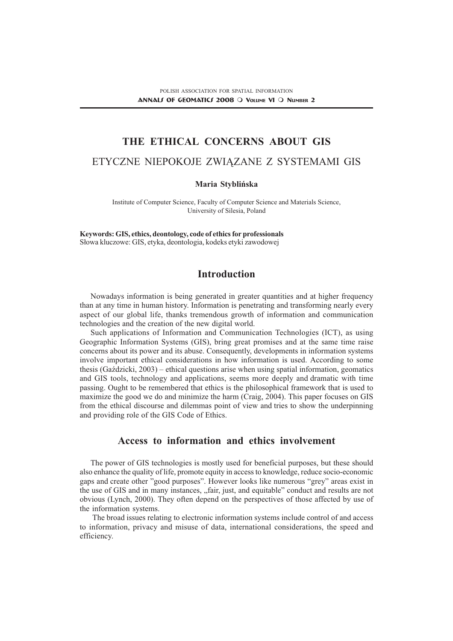## THE ETHICAL CONCERNS ABOUT GIS

#### ETYCZNE NIEPOKOJE ZWIĄZANE Z SYSTEMAMI GIS

#### Maria Stybliñska

Institute of Computer Science, Faculty of Computer Science and Materials Science, University of Silesia, Poland

Keywords: GIS, ethics, deontology, code of ethics for professionals Słowa kluczowe: GIS, etyka, deontologia, kodeks etyki zawodowej

## **Introduction**

Nowadays information is being generated in greater quantities and at higher frequency than at any time in human history. Information is penetrating and transforming nearly every aspect of our global life, thanks tremendous growth of information and communication technologies and the creation of the new digital world.

Such applications of Information and Communication Technologies (ICT), as using Geographic Information Systems (GIS), bring great promises and at the same time raise concerns about its power and its abuse. Consequently, developments in information systems involve important ethical considerations in how information is used. According to some thesis (Gazdzicki,  $2003$ ) – ethical questions arise when using spatial information, geomatics and GIS tools, technology and applications, seems more deeply and dramatic with time passing. Ought to be remembered that ethics is the philosophical framework that is used to maximize the good we do and minimize the harm (Craig, 2004). This paper focuses on GIS from the ethical discourse and dilemmas point of view and tries to show the underpinning and providing role of the GIS Code of Ethics.

# Access to information and ethics involvement

The power of GIS technologies is mostly used for beneficial purposes, but these should also enhance the quality of life, promote equity in access to knowledge, reduce socio-economic gaps and create other "good purposes". However looks like numerous "grey" areas exist in the use of GIS and in many instances, "fair, just, and equitable" conduct and results are not obvious (Lynch, 2000). They often depend on the perspectives of those affected by use of the information systems.

 The broad issues relating to electronic information systems include control of and access to information, privacy and misuse of data, international considerations, the speed and efficiency.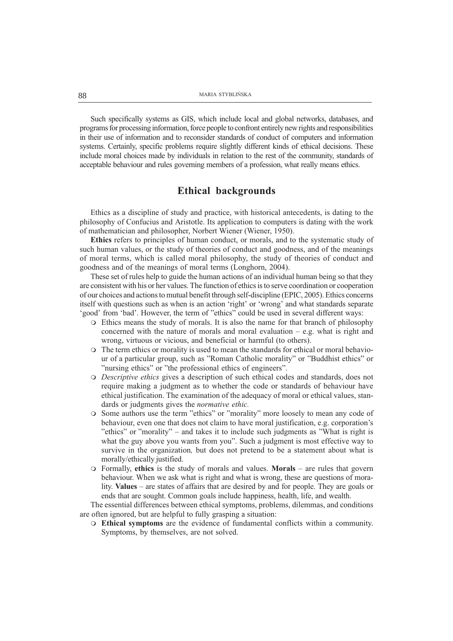Such specifically systems as GIS, which include local and global networks, databases, and programs for processing information, force people to confront entirely new rights and responsibilities in their use of information and to reconsider standards of conduct of computers and information systems. Certainly, specific problems require slightly different kinds of ethical decisions. These include moral choices made by individuals in relation to the rest of the community, standards of acceptable behaviour and rules governing members of a profession, what really means ethics.

### Ethical backgrounds

Ethics as a discipline of study and practice, with historical antecedents, is dating to the philosophy of Confucius and Aristotle. Its application to computers is dating with the work of mathematician and philosopher, Norbert Wiener (Wiener, 1950).

Ethics refers to principles of human conduct, or morals, and to the systematic study of such human values, or the study of theories of conduct and goodness, and of the meanings of moral terms, which is called moral philosophy, the study of theories of conduct and goodness and of the meanings of moral terms (Longhorn, 2004).

These set of rules help to guide the human actions of an individual human being so that they are consistent with his or her values. The function of ethics is to serve coordination or cooperation of our choices and actions to mutual benefit through self-discipline (EPIC, 2005). Ethics concerns itself with questions such as when is an action 'right' or 'wrong' and what standards separate 'good' from 'bad'. However, the term of "ethics" could be used in several different ways:

- $\circ$  Ethics means the study of morals. It is also the name for that branch of philosophy concerned with the nature of morals and moral evaluation  $-e.g.$  what is right and wrong, virtuous or vicious, and beneficial or harmful (to others).
- m The term ethics or morality is used to mean the standards for ethical or moral behaviour of a particular group, such as "Roman Catholic morality" or "Buddhist ethics" or "nursing ethics" or "the professional ethics of engineers".
- m Descriptive ethics gives a description of such ethical codes and standards, does not require making a judgment as to whether the code or standards of behaviour have ethical justification. The examination of the adequacy of moral or ethical values, standards or judgments gives the *normative ethic*.
- $\circ$  Some authors use the term "ethics" or "morality" more loosely to mean any code of behaviour, even one that does not claim to have moral justification, e.g. corporation's "ethics" or "morality"  $-$  and takes it to include such judgments as "What is right is what the guy above you wants from you". Such a judgment is most effective way to survive in the organization, but does not pretend to be a statement about what is morally/ethically justified.
- $\circ$  Formally, ethics is the study of morals and values. Morals are rules that govern behaviour. When we ask what is right and what is wrong, these are questions of morality. Values – are states of affairs that are desired by and for people. They are goals or ends that are sought. Common goals include happiness, health, life, and wealth.

The essential differences between ethical symptoms, problems, dilemmas, and conditions are often ignored, but are helpful to fully grasping a situation:

m Ethical symptoms are the evidence of fundamental conflicts within a community. Symptoms, by themselves, are not solved.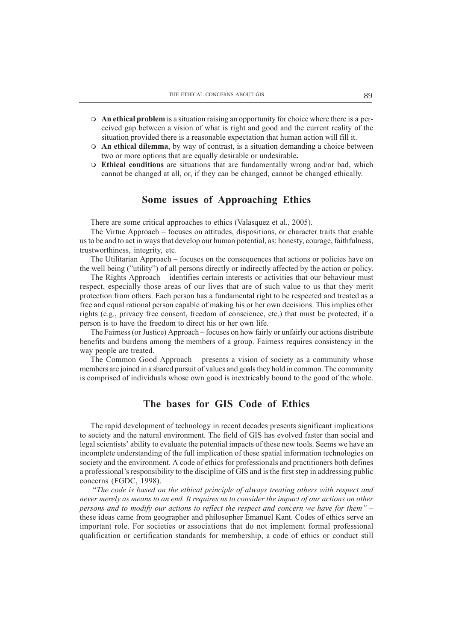- $\circ$  An ethical problem is a situation raising an opportunity for choice where there is a perceived gap between a vision of what is right and good and the current reality of the situation provided there is a reasonable expectation that human action will fill it.
- $\circ$  An ethical dilemma, by way of contrast, is a situation demanding a choice between two or more options that are equally desirable or undesirable.
- $\circ$  Ethical conditions are situations that are fundamentally wrong and/or bad, which cannot be changed at all, or, if they can be changed, cannot be changed ethically.

### Some issues of Approaching Ethics

There are some critical approaches to ethics (Valasquez et al., 2005).

The Virtue Approach – focuses on attitudes, dispositions, or character traits that enable us to be and to act in ways that develop our human potential, as: honesty, courage, faithfulness, trustworthiness, integrity, etc.

The Utilitarian Approach – focuses on the consequences that actions or policies have on the well being ("utility") of all persons directly or indirectly affected by the action or policy.

The Rights Approach – identifies certain interests or activities that our behaviour must respect, especially those areas of our lives that are of such value to us that they merit protection from others. Each person has a fundamental right to be respected and treated as a free and equal rational person capable of making his or her own decisions. This implies other rights (e.g., privacy free consent, freedom of conscience, etc.) that must be protected, if a person is to have the freedom to direct his or her own life.

The Fairness (or Justice) Approach – focuses on how fairly or unfairly our actions distribute benefits and burdens among the members of a group. Fairness requires consistency in the way people are treated.

The Common Good Approach – presents a vision of society as a community whose members are joined in a shared pursuit of values and goals they hold in common. The community is comprised of individuals whose own good is inextricably bound to the good of the whole.

## The bases for GIS Code of Ethics

The rapid development of technology in recent decades presents significant implications to society and the natural environment. The field of GIS has evolved faster than social and legal scientists' ability to evaluate the potential impacts of these new tools. Seems we have an incomplete understanding of the full implication of these spatial information technologies on society and the environment. A code of ethics for professionals and practitioners both defines a professional's responsibility to the discipline of GIS and is the first step in addressing public concerns (FGDC, 1998).

 The code is based on the ethical principle of always treating others with respect and never merely as means to an end. It requires us to consider the impact of our actions on other persons and to modify our actions to reflect the respect and concern we have for them these ideas came from geographer and philosopher Emanuel Kant. Codes of ethics serve an important role. For societies or associations that do not implement formal professional qualification or certification standards for membership, a code of ethics or conduct still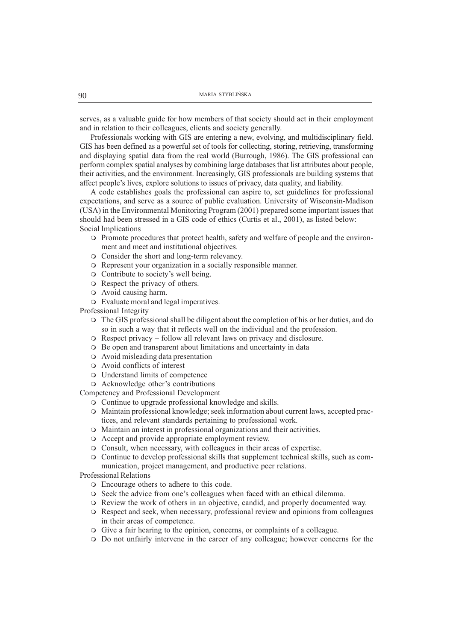serves, as a valuable guide for how members of that society should act in their employment and in relation to their colleagues, clients and society generally.

Professionals working with GIS are entering a new, evolving, and multidisciplinary field. GIS has been defined as a powerful set of tools for collecting, storing, retrieving, transforming and displaying spatial data from the real world (Burrough, 1986). The GIS professional can perform complex spatial analyses by combining large databases that list attributes about people, their activities, and the environment. Increasingly, GIS professionals are building systems that affect people's lives, explore solutions to issues of privacy, data quality, and liability.

A code establishes goals the professional can aspire to, set guidelines for professional expectations, and serve as a source of public evaluation. University of Wisconsin-Madison (USA) in the Environmental Monitoring Program (2001) prepared some important issues that should had been stressed in a GIS code of ethics (Curtis et al., 2001), as listed below: Social Implications

- m Promote procedures that protect health, safety and welfare of people and the environment and meet and institutional objectives.
- $\circ$  Consider the short and long-term relevancy.
- m Represent your organization in a socially responsible manner.
- $\circ$  Contribute to society's well being.
- $\circ$  Respect the privacy of others.
- $\circ$  Avoid causing harm.
- $\circ$  Evaluate moral and legal imperatives.

Professional Integrity

- m The GIS professional shall be diligent about the completion of his or her duties, and do so in such a way that it reflects well on the individual and the profession.
- $\circ$  Respect privacy follow all relevant laws on privacy and disclosure.
- o Be open and transparent about limitations and uncertainty in data
- $\circ$  Avoid misleading data presentation
- o Avoid conflicts of interest
- o Understand limits of competence
- $\circ$  Acknowledge other's contributions

Competency and Professional Development

- $\circ$  Continue to upgrade professional knowledge and skills.
- $\circ$  Maintain professional knowledge; seek information about current laws, accepted practices, and relevant standards pertaining to professional work.
- $\circ$  Maintain an interest in professional organizations and their activities.
- $\circ$  Accept and provide appropriate employment review.
- m Consult, when necessary, with colleagues in their areas of expertise.
- m Continue to develop professional skills that supplement technical skills, such as communication, project management, and productive peer relations.

#### Professional Relations

- $\circ$  Encourage others to adhere to this code.
- $\circ$  Seek the advice from one's colleagues when faced with an ethical dilemma.
- m Review the work of others in an objective, candid, and properly documented way.
- m Respect and seek, when necessary, professional review and opinions from colleagues in their areas of competence.
- m Give a fair hearing to the opinion, concerns, or complaints of a colleague.
- m Do not unfairly intervene in the career of any colleague; however concerns for the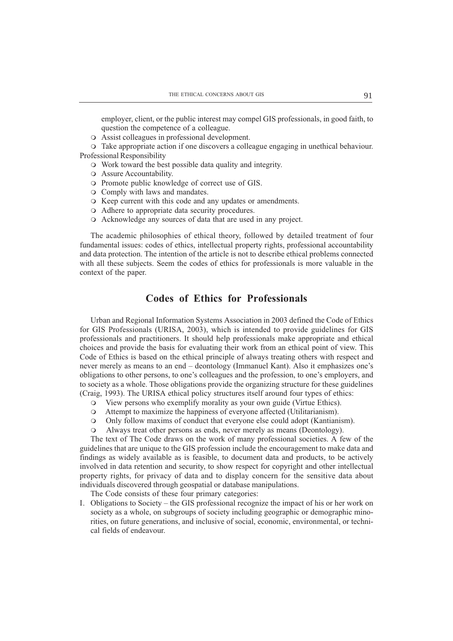employer, client, or the public interest may compel GIS professionals, in good faith, to question the competence of a colleague.

 $\circ$  Assist colleagues in professional development.

m Take appropriate action if one discovers a colleague engaging in unethical behaviour. Professional Responsibility

- $\circ$  Work toward the best possible data quality and integrity.
- $\circ$  Assure Accountability.
- $\circ$  Promote public knowledge of correct use of GIS.
- $\circ$  Comply with laws and mandates.
- $\circ$  Keep current with this code and any updates or amendments.
- $\circ$  Adhere to appropriate data security procedures.
- $\circ$  Acknowledge any sources of data that are used in any project.

The academic philosophies of ethical theory, followed by detailed treatment of four fundamental issues: codes of ethics, intellectual property rights, professional accountability and data protection. The intention of the article is not to describe ethical problems connected with all these subjects. Seem the codes of ethics for professionals is more valuable in the context of the paper.

## Codes of Ethics for Professionals

Urban and Regional Information Systems Association in 2003 defined the Code of Ethics for GIS Professionals (URISA, 2003), which is intended to provide guidelines for GIS professionals and practitioners. It should help professionals make appropriate and ethical choices and provide the basis for evaluating their work from an ethical point of view. This Code of Ethics is based on the ethical principle of always treating others with respect and never merely as means to an end – deontology (Immanuel Kant). Also it emphasizes one's obligations to other persons, to one's colleagues and the profession, to one's employers, and to society as a whole. Those obligations provide the organizing structure for these guidelines (Craig, 1993). The URISA ethical policy structures itself around four types of ethics:

- m View persons who exemplify morality as your own guide (Virtue Ethics).
- m Attempt to maximize the happiness of everyone affected (Utilitarianism).
- m Only follow maxims of conduct that everyone else could adopt (Kantianism).
- m Always treat other persons as ends, never merely as means (Deontology).

The text of The Code draws on the work of many professional societies. A few of the guidelines that are unique to the GIS profession include the encouragement to make data and findings as widely available as is feasible, to document data and products, to be actively involved in data retention and security, to show respect for copyright and other intellectual property rights, for privacy of data and to display concern for the sensitive data about individuals discovered through geospatial or database manipulations.

The Code consists of these four primary categories:

I. Obligations to Society  $-$  the GIS professional recognize the impact of his or her work on society as a whole, on subgroups of society including geographic or demographic minorities, on future generations, and inclusive of social, economic, environmental, or technical fields of endeavour.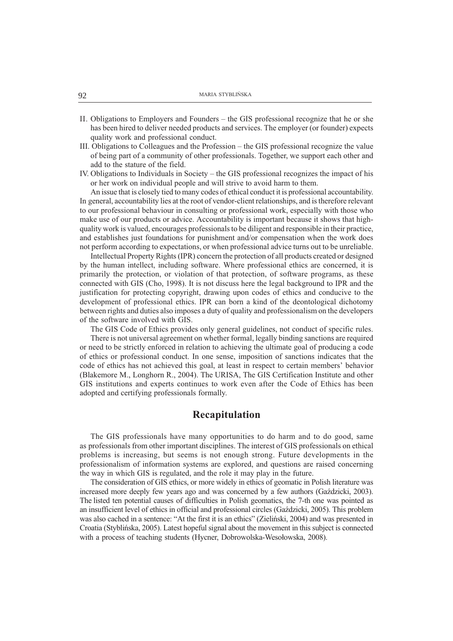- II. Obligations to Employers and Founders the GIS professional recognize that he or she has been hired to deliver needed products and services. The employer (or founder) expects quality work and professional conduct.
- III. Obligations to Colleagues and the Profession the GIS professional recognize the value of being part of a community of other professionals. Together, we support each other and add to the stature of the field.
- IV. Obligations to Individuals in Society  $-$  the GIS professional recognizes the impact of his or her work on individual people and will strive to avoid harm to them.

An issue that is closely tied to many codes of ethical conduct it is professional accountability. In general, accountability lies at the root of vendor-client relationships, and is therefore relevant to our professional behaviour in consulting or professional work, especially with those who make use of our products or advice. Accountability is important because it shows that highquality work is valued, encourages professionals to be diligent and responsible in their practice, and establishes just foundations for punishment and/or compensation when the work does not perform according to expectations, or when professional advice turns out to be unreliable.

Intellectual Property Rights (IPR) concern the protection of all products created or designed by the human intellect, including software. Where professional ethics are concerned, it is primarily the protection, or violation of that protection, of software programs, as these connected with GIS (Cho, 1998). It is not discuss here the legal background to IPR and the justification for protecting copyright, drawing upon codes of ethics and conducive to the development of professional ethics. IPR can born a kind of the deontological dichotomy between rights and duties also imposes a duty of quality and professionalism on the developers of the software involved with GIS.

The GIS Code of Ethics provides only general guidelines, not conduct of specific rules. There is not universal agreement on whether formal, legally binding sanctions are required or need to be strictly enforced in relation to achieving the ultimate goal of producing a code of ethics or professional conduct. In one sense, imposition of sanctions indicates that the code of ethics has not achieved this goal, at least in respect to certain members' behavior (Blakemore M., Longhorn R., 2004). The URISA, The GIS Certification Institute and other GIS institutions and experts continues to work even after the Code of Ethics has been adopted and certifying professionals formally.

### Recapitulation

The GIS professionals have many opportunities to do harm and to do good, same as professionals from other important disciplines. The interest of GIS professionals on ethical problems is increasing, but seems is not enough strong. Future developments in the professionalism of information systems are explored, and questions are raised concerning the way in which GIS is regulated, and the role it may play in the future.

The consideration of GIS ethics, or more widely in ethics of geomatic in Polish literature was increased more deeply few years ago and was concerned by a few authors (Gazdzicki, 2003). The listed ten potential causes of difficulties in Polish geomatics, the 7-th one was pointed as an insufficient level of ethics in official and professional circles (Gadzicki, 2005). This problem was also cached in a sentence: "At the first it is an ethics" (Zieliński, 2004) and was presented in Croatia (Stybliñska, 2005). Latest hopeful signal about the movement in this subject is connected with a process of teaching students (Hycner, Dobrowolska-Wesołowska, 2008).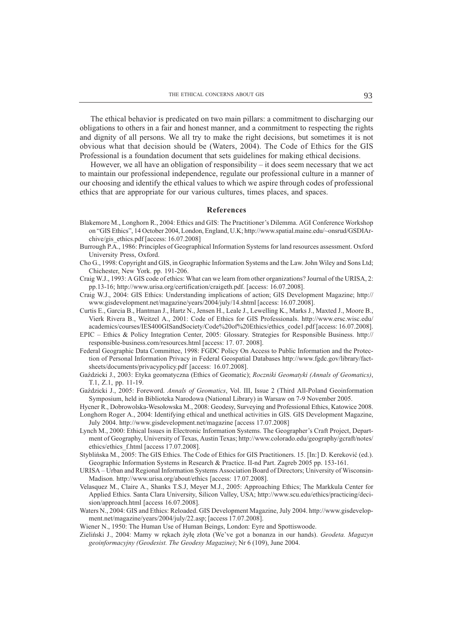The ethical behavior is predicated on two main pillars: a commitment to discharging our obligations to others in a fair and honest manner, and a commitment to respecting the rights and dignity of all persons. We all try to make the right decisions, but sometimes it is not obvious what that decision should be (Waters, 2004). The Code of Ethics for the GIS Professional is a foundation document that sets guidelines for making ethical decisions.

However, we all have an obligation of responsibility  $-$  it does seem necessary that we act to maintain our professional independence, regulate our professional culture in a manner of our choosing and identify the ethical values to which we aspire through codes of professional ethics that are appropriate for our various cultures, times places, and spaces.

#### References

- Blakemore M., Longhorn R., 2004: Ethics and GIS: The Practitioner's Dilemma. AGI Conference Workshop on "GIS Ethics", 14 October 2004, London, England, U.K; http://www.spatial.maine.edu/~onsrud/GSDIArchive/gis\_ethics.pdf [access: 16.07.2008]
- Burrough P.A., 1986: Principles of Geographical Information Systems for land resources assessment. Oxford University Press, Oxford.
- Cho G., 1998: Copyright and GIS, in Geographic Information Systems and the Law. John Wiley and Sons Ltd; Chichester, New York. pp. 191-206.
- Craig W.J., 1993: A GIS code of ethics: What can we learn from other organizations? Journal of the URISA, 2: pp.13-16; http://www.urisa.org/certification/craigeth.pdf. [access: 16.07.2008].
- Craig W.J., 2004: GIS Ethics: Understanding implications of action; GIS Development Magazine; http:// www.gisdevelopment.net/magazine/years/2004/july/14.shtml [access: 16.07.2008].
- Curtis E., Garcia B., Hantman J., Hartz N., Jensen H., Leale J., Lewelling K., Marks J., Maxted J., Moore B., Vierk Rivera B., Weitzel A., 2001: Code of Ethics for GIS Professionals. http://www.ersc.wisc.edu/ academics/courses/IES400GISandSociety/Code%20of%20Ethics/ethics\_code1.pdf [access: 16.07.2008].
- EPIC Ethics & Policy Integration Center, 2005: Glossary. Strategies for Responsible Business. http:// responsible-business.com/resources.html [access: 17. 07. 2008].
- Federal Geographic Data Committee, 1998: FGDC Policy On Access to Public Information and the Protection of Personal Information Privacy in Federal Geospatial Databases http://www.fgdc.gov/library/factsheets/documents/privacypolicy.pdf [access: 16.07.2008].
- Gaździcki J., 2003: Etyka geomatyczna (Ethics of Geomatic); Roczniki Geomatyki (Annals of Geomatics), T.1, Z.1, pp. 11-19.
- Gaździcki J., 2005: Foreword. Annals of Geomatics, Vol. III, Issue 2 (Third All-Poland Geoinformation Symposium, held in Biblioteka Narodowa (National Library) in Warsaw on 7-9 November 2005.

Hycner R., Dobrowolska-Wesołowska M., 2008: Geodesy, Surveying and Professional Ethics, Katowice 2008.

- Longhorn Roger A., 2004: Identifying ethical and unethical activities in GIS. GIS Development Magazine, July 2004. http://www.gisdevelopment.net/magazine [access 17.07.2008]
- Lynch M., 2000: Ethical Issues in Electronic Information Systems. The Geographer's Craft Project, Department of Geography, University of Texas, Austin Texas; http://www.colorado.edu/geography/gcraft/notes/ ethics/ethics\_f.html [access 17.07.2008].
- Styblińska M., 2005: The GIS Ethics. The Code of Ethics for GIS Practitioners. 15. [In:] D. Kereković (ed.). Geographic Information Systems in Research & Practice. II-nd Part. Zagreb 2005 pp. 153-161.
- URISA Urban and Regional Information Systems Association Board of Directors; University of Wisconsin-Madison. http://www.urisa.org/about/ethics [access: 17.07.2008].
- Velasquez M., Claire A., Shanks T.S.J, Meyer M.J., 2005: Approaching Ethics; The Markkula Center for Applied Ethics. Santa Clara University, Silicon Valley, USA; http://www.scu.edu/ethics/practicing/decision/approach.html [access 16.07.2008].
- Waters N., 2004: GIS and Ethics: Reloaded. GIS Development Magazine, July 2004. http://www.gisdevelopment.net/magazine/years/2004/july/22.asp; [access 17.07.2008].
- Wiener N., 1950: The Human Use of Human Beings, London: Eyre and Spottiswoode.
- Zieliński J., 2004: Mamy w rękach żyłę złota (We've got a bonanza in our hands). Geodeta. Magazyn geoinformacyjny (Geodesist. The Geodesy Magazine); Nr 6 (109), June 2004.